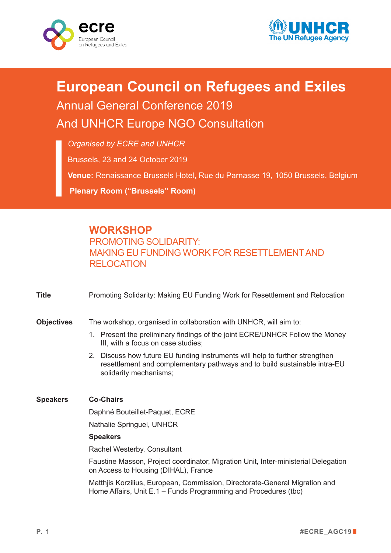



## **European Council on Refugees and Exiles** Annual General Conference 2019 And UNHCR Europe NGO Consultation

*Organised by ECRE and UNHCR*

Brussels, 23 and 24 October 2019

**Venue:** Renaissance Brussels Hotel, Rue du Parnasse 19, 1050 Brussels, Belgium **Plenary Room ("Brussels" Room)**

## **WORKSHOP**

PROMOTING SOLIDARITY: MAKING EU FUNDING WORK FOR RESETTLEMENT AND **RELOCATION** 

| <b>Title</b>      | Promoting Solidarity: Making EU Funding Work for Resettlement and Relocation                                                                                                        |
|-------------------|-------------------------------------------------------------------------------------------------------------------------------------------------------------------------------------|
| <b>Objectives</b> | The workshop, organised in collaboration with UNHCR, will aim to:                                                                                                                   |
|                   | 1. Present the preliminary findings of the joint ECRE/UNHCR Follow the Money<br>III, with a focus on case studies;                                                                  |
|                   | 2. Discuss how future EU funding instruments will help to further strengthen<br>resettlement and complementary pathways and to build sustainable intra-EU<br>solidarity mechanisms; |
| <b>Speakers</b>   | <b>Co-Chairs</b>                                                                                                                                                                    |
|                   | Daphné Bouteillet-Paquet, ECRE                                                                                                                                                      |
|                   | Nathalie Springuel, UNHCR                                                                                                                                                           |
|                   | <b>Speakers</b>                                                                                                                                                                     |
|                   | Rachel Westerby, Consultant                                                                                                                                                         |
|                   | Faustine Masson, Project coordinator, Migration Unit, Inter-ministerial Delegation<br>on Access to Housing (DIHAL), France                                                          |
|                   | Matthiis Korzilius, European, Commission, Directorate-General Migration and<br>Home Affairs, Unit E.1 – Funds Programming and Procedures (tbc)                                      |